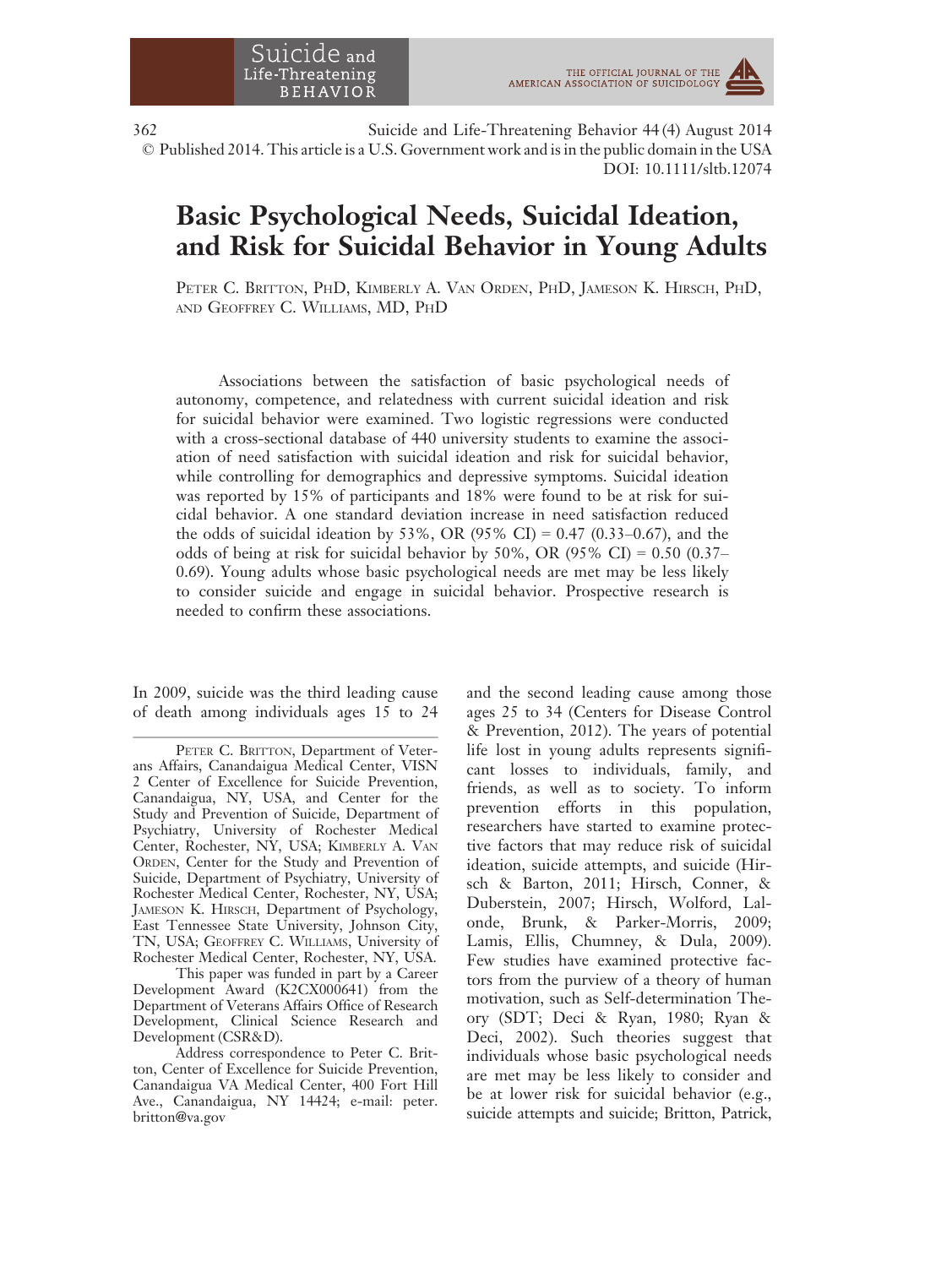



362 Suicide and Life-Threatening Behavior 44 (4) August 2014 © Published 2014. This article is a U.S. Government work and is in the public domain in the USA DOI: 10.1111/sltb.12074

# Basic Psychological Needs, Suicidal Ideation, and Risk for Suicidal Behavior in Young Adults

PETER C. BRITTON, PHD, KIMBERLY A. VAN ORDEN, PHD, JAMESON K. HIRSCH, PHD, AND GEOFFREY C. WILLIAMS, MD, PHD

Associations between the satisfaction of basic psychological needs of autonomy, competence, and relatedness with current suicidal ideation and risk for suicidal behavior were examined. Two logistic regressions were conducted with a cross-sectional database of 440 university students to examine the association of need satisfaction with suicidal ideation and risk for suicidal behavior, while controlling for demographics and depressive symptoms. Suicidal ideation was reported by 15% of participants and 18% were found to be at risk for suicidal behavior. A one standard deviation increase in need satisfaction reduced the odds of suicidal ideation by 53%, OR  $(95\% \text{ CI}) = 0.47 (0.33-0.67)$ , and the odds of being at risk for suicidal behavior by 50%, OR  $(95\% \text{ CI}) = 0.50 (0.37-$ 0.69). Young adults whose basic psychological needs are met may be less likely to consider suicide and engage in suicidal behavior. Prospective research is needed to confirm these associations.

In 2009, suicide was the third leading cause of death among individuals ages 15 to 24

This paper was funded in part by a Career Development Award (K2CX000641) from the Department of Veterans Affairs Office of Research Development, Clinical Science Research and Development (CSR&D).

Address correspondence to Peter C. Britton, Center of Excellence for Suicide Prevention, Canandaigua VA Medical Center, 400 Fort Hill Ave., Canandaigua, NY 14424; e-mail: peter. britton@va.gov

and the second leading cause among those ages 25 to 34 (Centers for Disease Control & Prevention, 2012). The years of potential life lost in young adults represents significant losses to individuals, family, and friends, as well as to society. To inform prevention efforts in this population, researchers have started to examine protective factors that may reduce risk of suicidal ideation, suicide attempts, and suicide (Hirsch & Barton, 2011; Hirsch, Conner, & Duberstein, 2007; Hirsch, Wolford, Lalonde, Brunk, & Parker-Morris, 2009; Lamis, Ellis, Chumney, & Dula, 2009). Few studies have examined protective factors from the purview of a theory of human motivation, such as Self-determination Theory (SDT; Deci & Ryan, 1980; Ryan & Deci, 2002). Such theories suggest that individuals whose basic psychological needs are met may be less likely to consider and be at lower risk for suicidal behavior (e.g., suicide attempts and suicide; Britton, Patrick,

PETER C. BRITTON, Department of Veterans Affairs, Canandaigua Medical Center, VISN 2 Center of Excellence for Suicide Prevention, Canandaigua, NY, USA, and Center for the Study and Prevention of Suicide, Department of Psychiatry, University of Rochester Medical Center, Rochester, NY, USA; KIMBERLY A. VAN ORDEN, Center for the Study and Prevention of Suicide, Department of Psychiatry, University of Rochester Medical Center, Rochester, NY, USA; JAMESON K. HIRSCH, Department of Psychology, East Tennessee State University, Johnson City, TN, USA; GEOFFREY C. WILLIAMS, University of Rochester Medical Center, Rochester, NY, USA.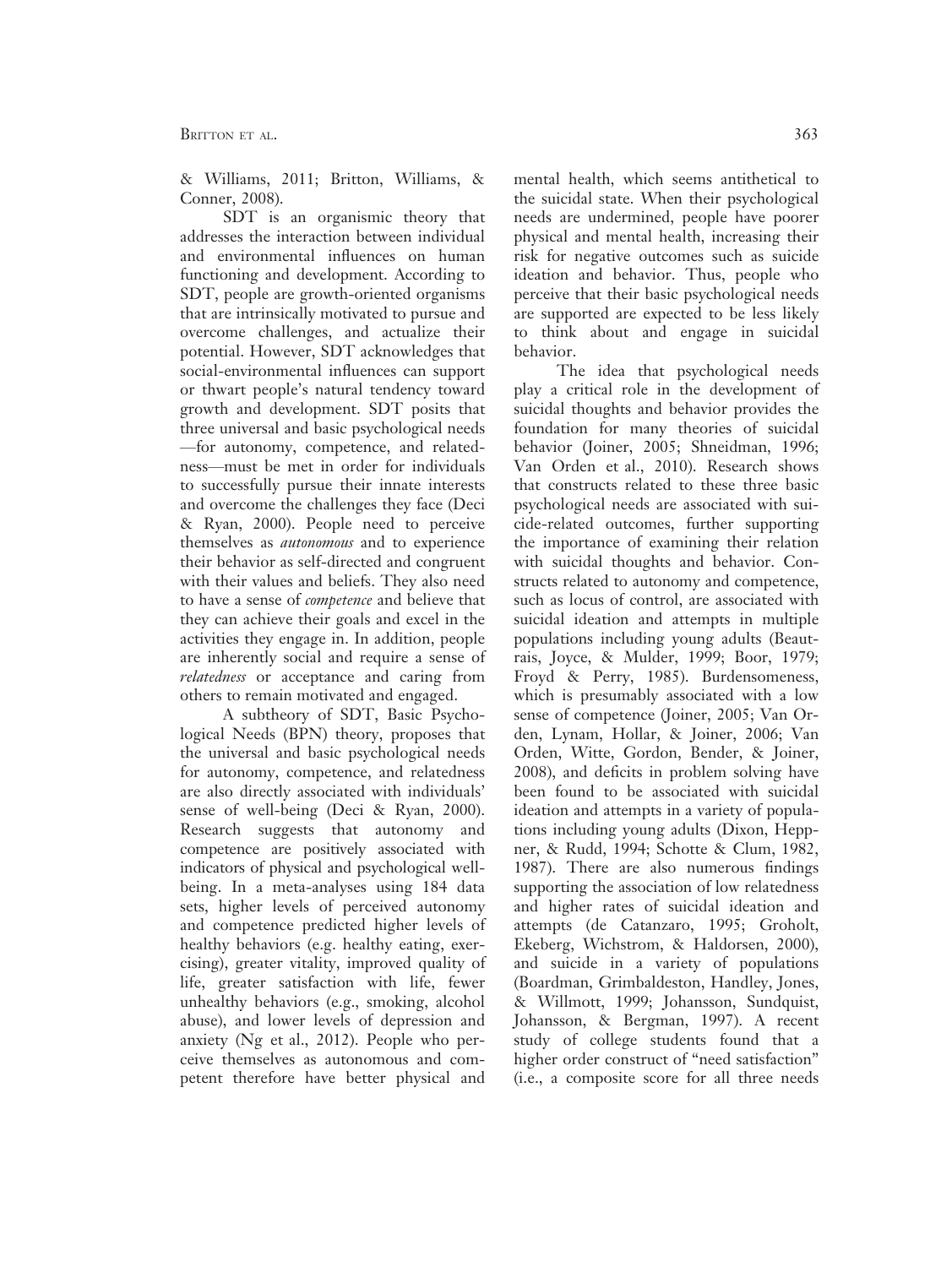# BRITTON ET AL. 363

& Williams, 2011; Britton, Williams, & Conner, 2008).

SDT is an organismic theory that addresses the interaction between individual and environmental influences on human functioning and development. According to SDT, people are growth-oriented organisms that are intrinsically motivated to pursue and overcome challenges, and actualize their potential. However, SDT acknowledges that social-environmental influences can support or thwart people's natural tendency toward growth and development. SDT posits that three universal and basic psychological needs —for autonomy, competence, and relatedness—must be met in order for individuals to successfully pursue their innate interests and overcome the challenges they face (Deci & Ryan, 2000). People need to perceive themselves as autonomous and to experience their behavior as self-directed and congruent with their values and beliefs. They also need to have a sense of competence and believe that they can achieve their goals and excel in the activities they engage in. In addition, people are inherently social and require a sense of relatedness or acceptance and caring from others to remain motivated and engaged.

A subtheory of SDT, Basic Psychological Needs (BPN) theory, proposes that the universal and basic psychological needs for autonomy, competence, and relatedness are also directly associated with individuals' sense of well-being (Deci & Ryan, 2000). Research suggests that autonomy and competence are positively associated with indicators of physical and psychological wellbeing. In a meta-analyses using 184 data sets, higher levels of perceived autonomy and competence predicted higher levels of healthy behaviors (e.g. healthy eating, exercising), greater vitality, improved quality of life, greater satisfaction with life, fewer unhealthy behaviors (e.g., smoking, alcohol abuse), and lower levels of depression and anxiety (Ng et al., 2012). People who perceive themselves as autonomous and competent therefore have better physical and mental health, which seems antithetical to the suicidal state. When their psychological needs are undermined, people have poorer physical and mental health, increasing their risk for negative outcomes such as suicide ideation and behavior. Thus, people who perceive that their basic psychological needs are supported are expected to be less likely to think about and engage in suicidal behavior.

The idea that psychological needs play a critical role in the development of suicidal thoughts and behavior provides the foundation for many theories of suicidal behavior (Joiner, 2005; Shneidman, 1996; Van Orden et al., 2010). Research shows that constructs related to these three basic psychological needs are associated with suicide-related outcomes, further supporting the importance of examining their relation with suicidal thoughts and behavior. Constructs related to autonomy and competence, such as locus of control, are associated with suicidal ideation and attempts in multiple populations including young adults (Beautrais, Joyce, & Mulder, 1999; Boor, 1979; Froyd & Perry, 1985). Burdensomeness, which is presumably associated with a low sense of competence (Joiner, 2005; Van Orden, Lynam, Hollar, & Joiner, 2006; Van Orden, Witte, Gordon, Bender, & Joiner, 2008), and deficits in problem solving have been found to be associated with suicidal ideation and attempts in a variety of populations including young adults (Dixon, Heppner, & Rudd, 1994; Schotte & Clum, 1982, 1987). There are also numerous findings supporting the association of low relatedness and higher rates of suicidal ideation and attempts (de Catanzaro, 1995; Groholt, Ekeberg, Wichstrom, & Haldorsen, 2000), and suicide in a variety of populations (Boardman, Grimbaldeston, Handley, Jones, & Willmott, 1999; Johansson, Sundquist, Johansson, & Bergman, 1997). A recent study of college students found that a higher order construct of "need satisfaction" (i.e., a composite score for all three needs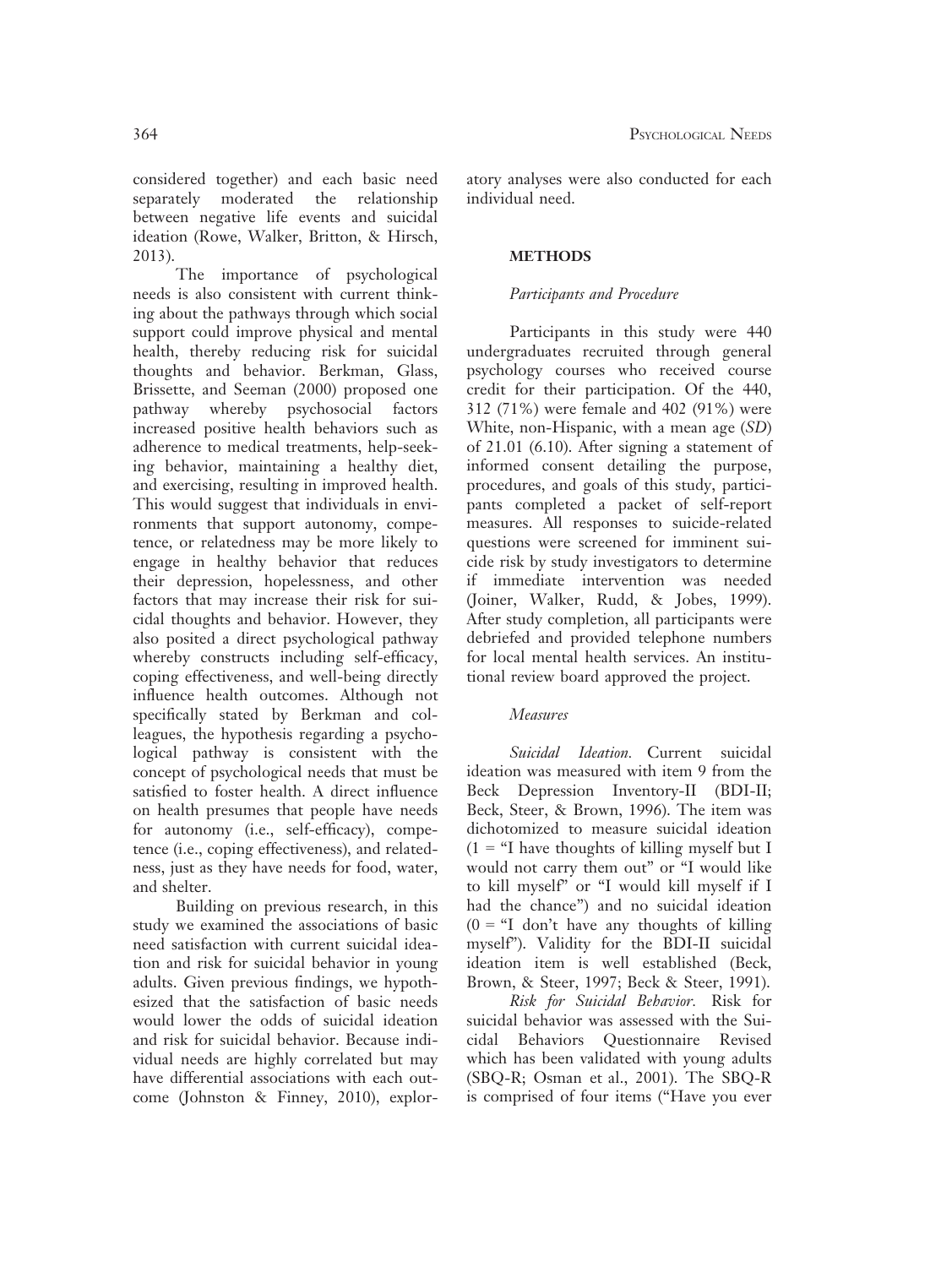considered together) and each basic need separately moderated the relationship between negative life events and suicidal ideation (Rowe, Walker, Britton, & Hirsch, 2013).

The importance of psychological needs is also consistent with current thinking about the pathways through which social support could improve physical and mental health, thereby reducing risk for suicidal thoughts and behavior. Berkman, Glass, Brissette, and Seeman (2000) proposed one pathway whereby psychosocial factors increased positive health behaviors such as adherence to medical treatments, help-seeking behavior, maintaining a healthy diet, and exercising, resulting in improved health. This would suggest that individuals in environments that support autonomy, competence, or relatedness may be more likely to engage in healthy behavior that reduces their depression, hopelessness, and other factors that may increase their risk for suicidal thoughts and behavior. However, they also posited a direct psychological pathway whereby constructs including self-efficacy, coping effectiveness, and well-being directly influence health outcomes. Although not specifically stated by Berkman and colleagues, the hypothesis regarding a psychological pathway is consistent with the concept of psychological needs that must be satisfied to foster health. A direct influence on health presumes that people have needs for autonomy (i.e., self-efficacy), competence (i.e., coping effectiveness), and relatedness, just as they have needs for food, water, and shelter.

Building on previous research, in this study we examined the associations of basic need satisfaction with current suicidal ideation and risk for suicidal behavior in young adults. Given previous findings, we hypothesized that the satisfaction of basic needs would lower the odds of suicidal ideation and risk for suicidal behavior. Because individual needs are highly correlated but may have differential associations with each outcome (Johnston & Finney, 2010), exploratory analyses were also conducted for each individual need.

## METHODS

### Participants and Procedure

Participants in this study were 440 undergraduates recruited through general psychology courses who received course credit for their participation. Of the 440, 312 (71%) were female and 402 (91%) were White, non-Hispanic, with a mean age (SD) of 21.01 (6.10). After signing a statement of informed consent detailing the purpose, procedures, and goals of this study, participants completed a packet of self-report measures. All responses to suicide-related questions were screened for imminent suicide risk by study investigators to determine if immediate intervention was needed (Joiner, Walker, Rudd, & Jobes, 1999). After study completion, all participants were debriefed and provided telephone numbers for local mental health services. An institutional review board approved the project.

## Measures

Suicidal Ideation. Current suicidal ideation was measured with item 9 from the Beck Depression Inventory-II (BDI-II; Beck, Steer, & Brown, 1996). The item was dichotomized to measure suicidal ideation  $(1 - \text{``I have thoughts of killing myself but I})$ would not carry them out" or "I would like to kill myself" or "I would kill myself if I had the chance") and no suicidal ideation  $(0 = "I don't have any thoughts of killing)$ myself"). Validity for the BDI-II suicidal ideation item is well established (Beck, Brown, & Steer, 1997; Beck & Steer, 1991).

Risk for Suicidal Behavior. Risk for suicidal behavior was assessed with the Suicidal Behaviors Questionnaire Revised which has been validated with young adults (SBQ-R; Osman et al., 2001). The SBQ-R is comprised of four items ("Have you ever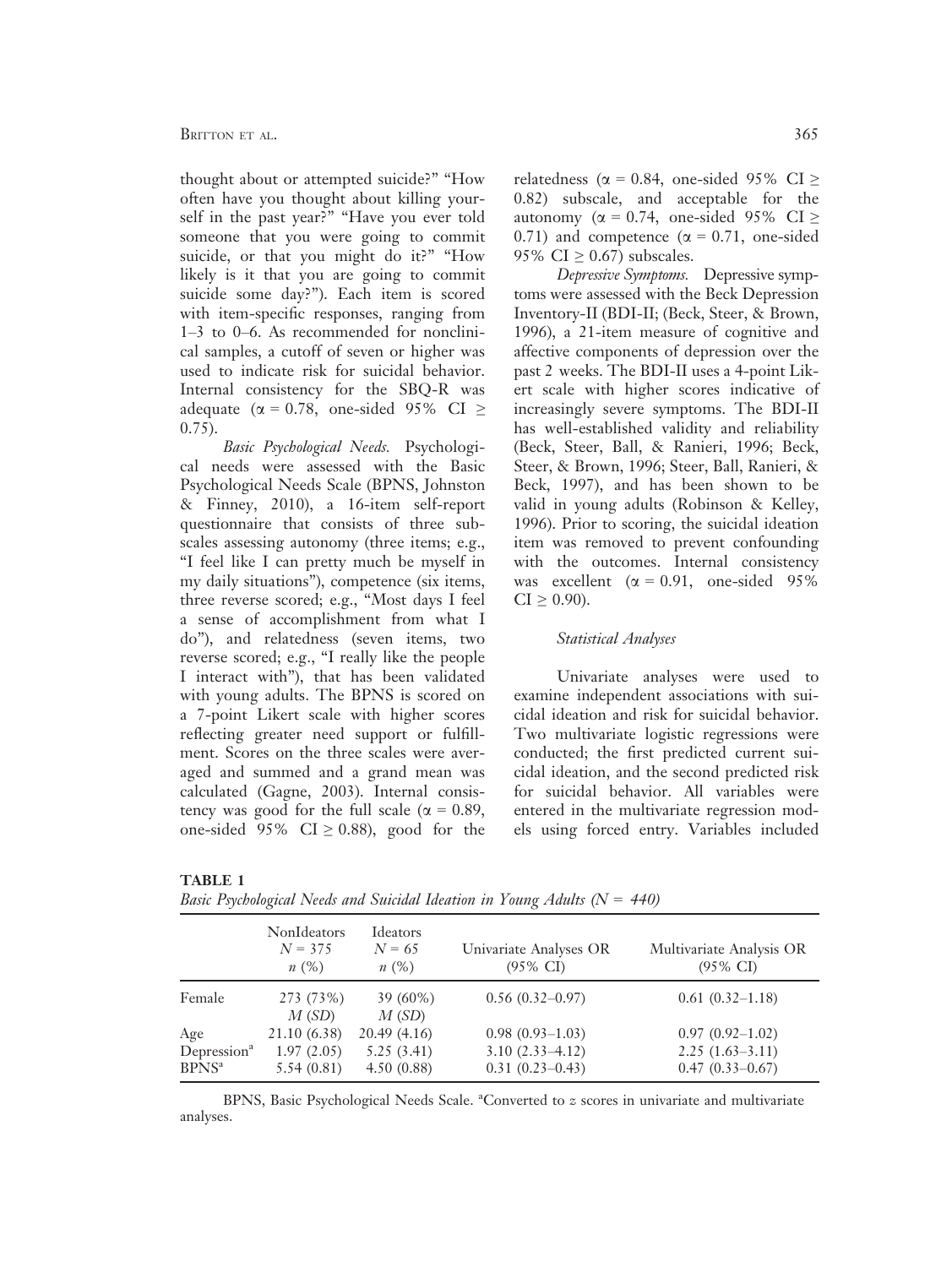TABLE 1

thought about or attempted suicide?" "How often have you thought about killing yourself in the past year?" "Have you ever told someone that you were going to commit suicide, or that you might do it?" "How likely is it that you are going to commit suicide some day?"). Each item is scored with item-specific responses, ranging from 1–3 to 0–6. As recommended for nonclinical samples, a cutoff of seven or higher was used to indicate risk for suicidal behavior. Internal consistency for the SBQ-R was adequate ( $\alpha = 0.78$ , one-sided 95% CI  $\ge$ 0.75).

Basic Psychological Needs. Psychological needs were assessed with the Basic Psychological Needs Scale (BPNS, Johnston & Finney, 2010), a 16-item self-report questionnaire that consists of three subscales assessing autonomy (three items; e.g., "I feel like I can pretty much be myself in my daily situations"), competence (six items, three reverse scored; e.g., "Most days I feel a sense of accomplishment from what I do"), and relatedness (seven items, two reverse scored; e.g., "I really like the people I interact with"), that has been validated with young adults. The BPNS is scored on a 7-point Likert scale with higher scores reflecting greater need support or fulfillment. Scores on the three scales were averaged and summed and a grand mean was calculated (Gagne, 2003). Internal consistency was good for the full scale ( $\alpha = 0.89$ , one-sided 95% CI  $\geq$  0.88), good for the relatedness ( $\alpha$  = 0.84, one-sided 95% CI  $\ge$ 0.82) subscale, and acceptable for the autonomy ( $\alpha = 0.74$ , one-sided 95% CI ≥ 0.71) and competence ( $\alpha$  = 0.71, one-sided 95% CI  $\geq$  0.67) subscales.

Depressive Symptoms. Depressive symptoms were assessed with the Beck Depression Inventory-II (BDI-II; (Beck, Steer, & Brown, 1996), a 21-item measure of cognitive and affective components of depression over the past 2 weeks. The BDI-II uses a 4-point Likert scale with higher scores indicative of increasingly severe symptoms. The BDI-II has well-established validity and reliability (Beck, Steer, Ball, & Ranieri, 1996; Beck, Steer, & Brown, 1996; Steer, Ball, Ranieri, & Beck, 1997), and has been shown to be valid in young adults (Robinson & Kelley, 1996). Prior to scoring, the suicidal ideation item was removed to prevent confounding with the outcomes. Internal consistency was excellent ( $\alpha = 0.91$ , one-sided 95%  $CI \geq 0.90$ ).

## Statistical Analyses

Univariate analyses were used to examine independent associations with suicidal ideation and risk for suicidal behavior. Two multivariate logistic regressions were conducted; the first predicted current suicidal ideation, and the second predicted risk for suicidal behavior. All variables were entered in the multivariate regression models using forced entry. Variables included

|                         | NonIdeators<br>$N = 375$<br>$n(\%)$ | Ideators<br>$N = 65$<br>$n(\%)$ | Univariate Analyses OR<br>$(95\% \text{ CI})$ | Multivariate Analysis OR<br>$(95\% \text{ CI})$ |
|-------------------------|-------------------------------------|---------------------------------|-----------------------------------------------|-------------------------------------------------|
| Female                  | 273 (73%)<br>M(SD)                  | $39(60\%)$<br>M(SD)             | $0.56(0.32-0.97)$                             | $0.61(0.32 - 1.18)$                             |
| Age                     | 21.10 (6.38)                        | 20.49(4.16)                     | $0.98(0.93-1.03)$                             | $0.97(0.92 - 1.02)$                             |
| Depression <sup>a</sup> | 1.97(2.05)                          | 5.25(3.41)                      | $3.10(2.33-4.12)$                             | $2.25(1.63-3.11)$                               |
| BPNS <sup>a</sup>       | 5.54(0.81)                          | 4.50(0.88)                      | $0.31(0.23 - 0.43)$                           | $0.47(0.33 - 0.67)$                             |

| Basic Psychological Needs and Suicidal Ideation in Young Adults ( $N = 440$ ) |  |  |  |  |
|-------------------------------------------------------------------------------|--|--|--|--|
|                                                                               |  |  |  |  |

BPNS, Basic Psychological Needs Scale. <sup>a</sup>Converted to *z* scores in univariate and multivariate analyses.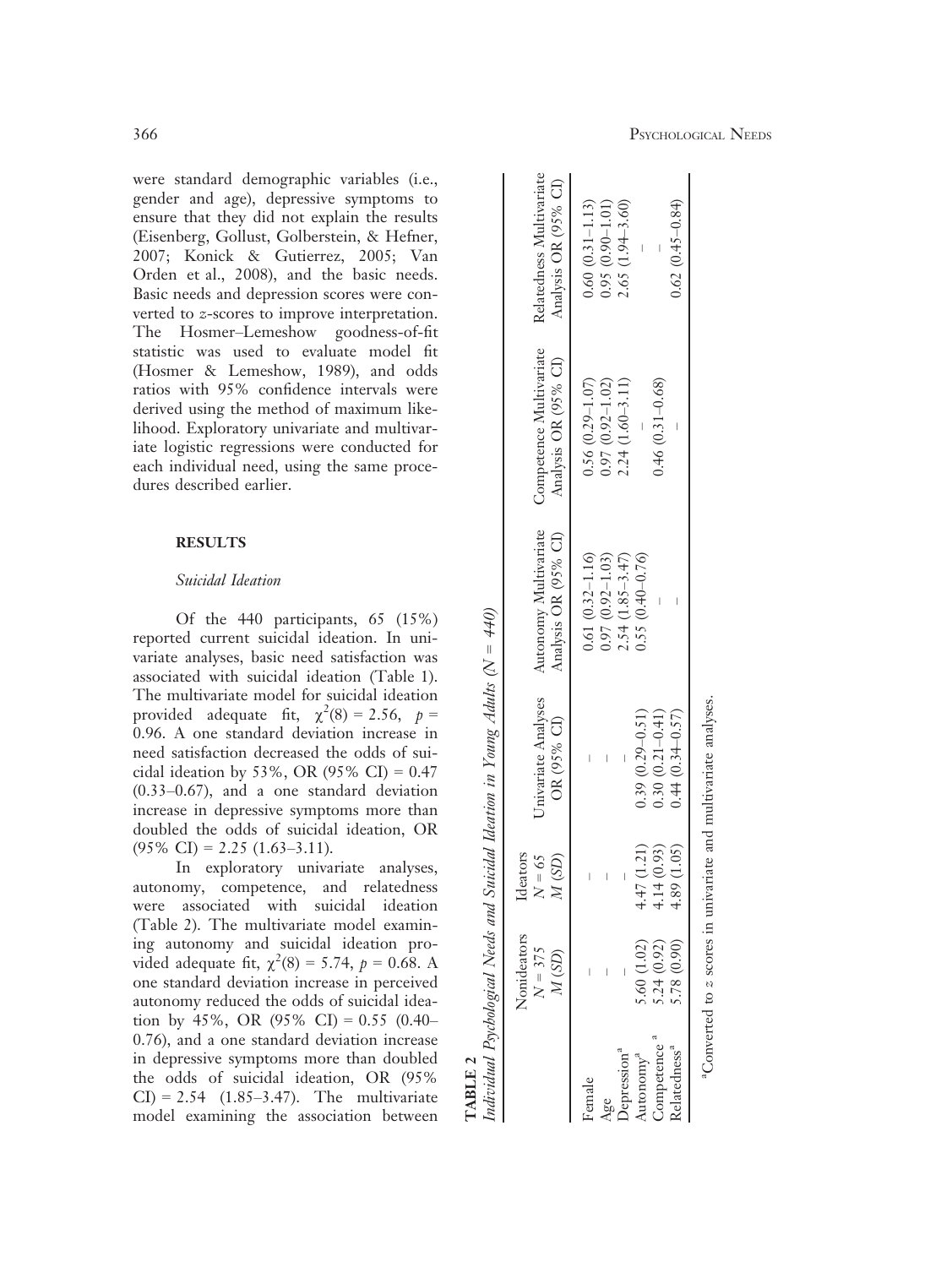were standard demographic variables (i.e., gender and age), depressive symptoms to ensure that they did not explain the results (Eisenberg, Gollust, Golberstein, & Hefner, 2007; Konick & Gutierrez, 2005; Van Orden et al., 2008), and the basic needs. Basic needs and depression scores were converted to z-scores to improve interpretation. The Hosmer–Lemeshow goodness-of-fit statistic was used to evaluate model fit (Hosmer & Lemeshow, 1989), and odds ratios with 95% confidence intervals were derived using the method of maximum likelihood. Exploratory univariate and multivariate logistic regressions were conducted for each individual need, using the same procedures described earlier.

#### RESULTS

# Suicidal Ideation

Of the 440 participants, 65 (15%) reported current suicidal ideation. In univariate analyses, basic need satisfaction was associated with suicidal ideation (Table 1). The multivariate model for suicidal ideation provided adequate fit,  $\chi^2(8) = 2.56$ ,  $p =$ 0.96. A one standard deviation increase in need satisfaction decreased the odds of suicidal ideation by 53%, OR  $(95\% \text{ CI}) = 0.47$ (0.33–0.67), and a one standard deviation increase in depressive symptoms more than doubled the odds of suicidal ideation, OR  $(95\% \text{ CI}) = 2.25 \ (1.63-3.11).$ 

In exploratory univariate analyses, autonomy, competence, and relatedness were associated with suicidal ideation (Table 2). The multivariate model examining autonomy and suicidal ideation provided adequate fit,  $\chi^2(8) = 5.74$ ,  $p = 0.68$ . A one standard deviation increase in perceived autonomy reduced the odds of suicidal ideation by 45%, OR  $(95\% \text{ CI}) = 0.55 \ (0.40-$ 0.76), and a one standard deviation increase in depressive symptoms more than doubled the odds of suicidal ideation, OR (95%  $CI$ ) = 2.54 (1.85–3.47). The multivariate model examining the association between

TABLE 2

**TABLE** 

Individual Psychological Needs and Suicidal Ideation in Young Adults (N

= 440)

|                         | Nonideators<br>$N = 375$<br>M(SD) | eators<br>$= 65$<br>l (SD) | Univariate Analyses<br>OR (95% CI)                                          | Autonomy Multivariate<br>Analysis OR (95% CI) | Competence Multivariate<br>Analysis OR (95% CI) | Relatedness Multivariate<br>Analysis OR (95% CI) |
|-------------------------|-----------------------------------|----------------------------|-----------------------------------------------------------------------------|-----------------------------------------------|-------------------------------------------------|--------------------------------------------------|
| Female                  |                                   |                            |                                                                             | $0.61(0.32 - 1.16)$                           | $0.56(0.29 - 1.07)$                             | $0.60(0.31 - 1.13)$                              |
|                         |                                   |                            |                                                                             | $0.97(0.92 - 1.03)$                           | $0.97(0.92 - 1.02)$                             | $0.95(0.90 - 1.01)$                              |
| epression <sup>8</sup>  |                                   |                            |                                                                             | $2.54(1.85 - 3.47)$                           | $2.24(1.60-3.11)$                               | $2.65(1.94-3.60)$                                |
| utonomy <sup>4</sup>    | .60(1.02)                         | (1.21)<br>1.47             | $0.39(0.29 - 0.51)$                                                         | $0.55(0.40-0.76)$                             |                                                 |                                                  |
| mpetence <sup>a</sup>   | (0.92)                            | (0.93)<br>4.14             | $0.30(0.21 - 0.41)$                                                         |                                               | $0.46(0.31 - 0.68)$                             |                                                  |
| elatedness <sup>a</sup> | (0.00)                            | (1.05)<br>4.89             | $0.44(0.34 - 0.57)$                                                         |                                               |                                                 | $0.62(0.45 - 0.84)$                              |
|                         |                                   |                            | <sup>a</sup> Converted to z scores in univariate and multivariate analyses. |                                               |                                                 |                                                  |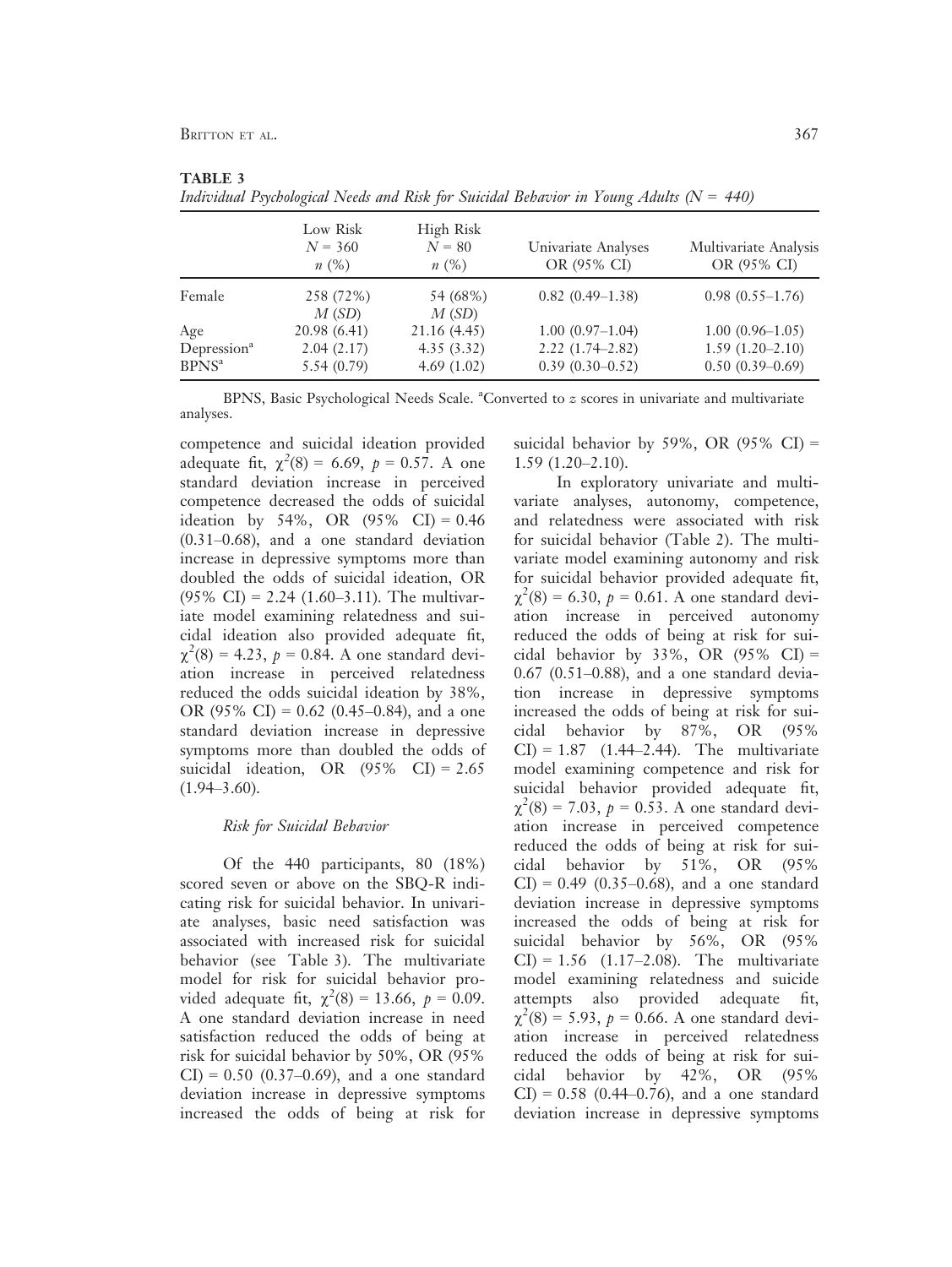TABLE 3

|                                                     | Low Risk<br>$N = 360$<br>$n(\%)$         | High Risk<br>$N = 80$<br>n(%)               | Univariate Analyses<br>OR (95% CI)                          | Multivariate Analysis<br>OR (95% CI)                        |
|-----------------------------------------------------|------------------------------------------|---------------------------------------------|-------------------------------------------------------------|-------------------------------------------------------------|
| Female                                              | 258 (72%)<br>M(SD)                       | 54 (68%)<br>M(SD)                           | $0.82(0.49-1.38)$                                           | $0.98(0.55-1.76)$                                           |
| Age<br>Depression <sup>a</sup><br>BPNS <sup>a</sup> | 20.98 (6.41)<br>2.04(2.17)<br>5.54(0.79) | 21.16 (4.45)<br>4.35(3.32)<br>4.69 $(1.02)$ | $1.00(0.97-1.04)$<br>$2.22(1.74-2.82)$<br>$0.39(0.30-0.52)$ | $1.00(0.96-1.05)$<br>$1.59(1.20-2.10)$<br>$0.50(0.39-0.69)$ |

Individual Psychological Needs and Risk for Suicidal Behavior in Young Adults ( $N = 440$ )

BPNS, Basic Psychological Needs Scale. <sup>a</sup>Converted to *z* scores in univariate and multivariate analyses.

competence and suicidal ideation provided adequate fit,  $\chi^2(8) = 6.69$ ,  $p = 0.57$ . A one standard deviation increase in perceived competence decreased the odds of suicidal ideation by 54%, OR  $(95\% \text{ CI}) = 0.46$ (0.31–0.68), and a one standard deviation increase in depressive symptoms more than doubled the odds of suicidal ideation, OR  $(95\% \text{ CI}) = 2.24 (1.60-3.11).$  The multivariate model examining relatedness and suicidal ideation also provided adequate fit,  $\chi^2(8) = 4.23$ ,  $p = 0.84$ . A one standard deviation increase in perceived relatedness reduced the odds suicidal ideation by 38%, OR (95% CI) = 0.62 (0.45–0.84), and a one standard deviation increase in depressive symptoms more than doubled the odds of suicidal ideation, OR  $(95\% \text{ CI}) = 2.65$  $(1.94-3.60).$ 

#### Risk for Suicidal Behavior

Of the 440 participants, 80 (18%) scored seven or above on the SBQ-R indicating risk for suicidal behavior. In univariate analyses, basic need satisfaction was associated with increased risk for suicidal behavior (see Table 3). The multivariate model for risk for suicidal behavior provided adequate fit,  $\chi^2(8) = 13.66$ ,  $p = 0.09$ . A one standard deviation increase in need satisfaction reduced the odds of being at risk for suicidal behavior by 50%, OR (95%  $CI$ ) = 0.50 (0.37–0.69), and a one standard deviation increase in depressive symptoms increased the odds of being at risk for

suicidal behavior by 59%, OR  $(95\% \text{ CI})$  = 1.59 (1.20–2.10).

In exploratory univariate and multivariate analyses, autonomy, competence, and relatedness were associated with risk for suicidal behavior (Table 2). The multivariate model examining autonomy and risk for suicidal behavior provided adequate fit,  $\chi^2(8) = 6.30, p = 0.61$ . A one standard deviation increase in perceived autonomy reduced the odds of being at risk for suicidal behavior by  $33\%$ , OR  $(95\% \text{ CI})$  = 0.67 (0.51–0.88), and a one standard deviation increase in depressive symptoms increased the odds of being at risk for suicidal behavior by 87%, OR (95%  $CI$ ) = 1.87 (1.44–2.44). The multivariate model examining competence and risk for suicidal behavior provided adequate fit,  $\chi^2(8) = 7.03$ ,  $p = 0.53$ . A one standard deviation increase in perceived competence reduced the odds of being at risk for suicidal behavior by 51%, OR (95%  $CI$ ) = 0.49 (0.35–0.68), and a one standard deviation increase in depressive symptoms increased the odds of being at risk for suicidal behavior by 56%, OR (95%  $CI$ ) = 1.56 (1.17–2.08). The multivariate model examining relatedness and suicide attempts also provided adequate fit,  $\chi^2(8) = 5.93, p = 0.66$ . A one standard deviation increase in perceived relatedness reduced the odds of being at risk for suicidal behavior by 42%, OR (95%  $CI$ ) = 0.58 (0.44–0.76), and a one standard deviation increase in depressive symptoms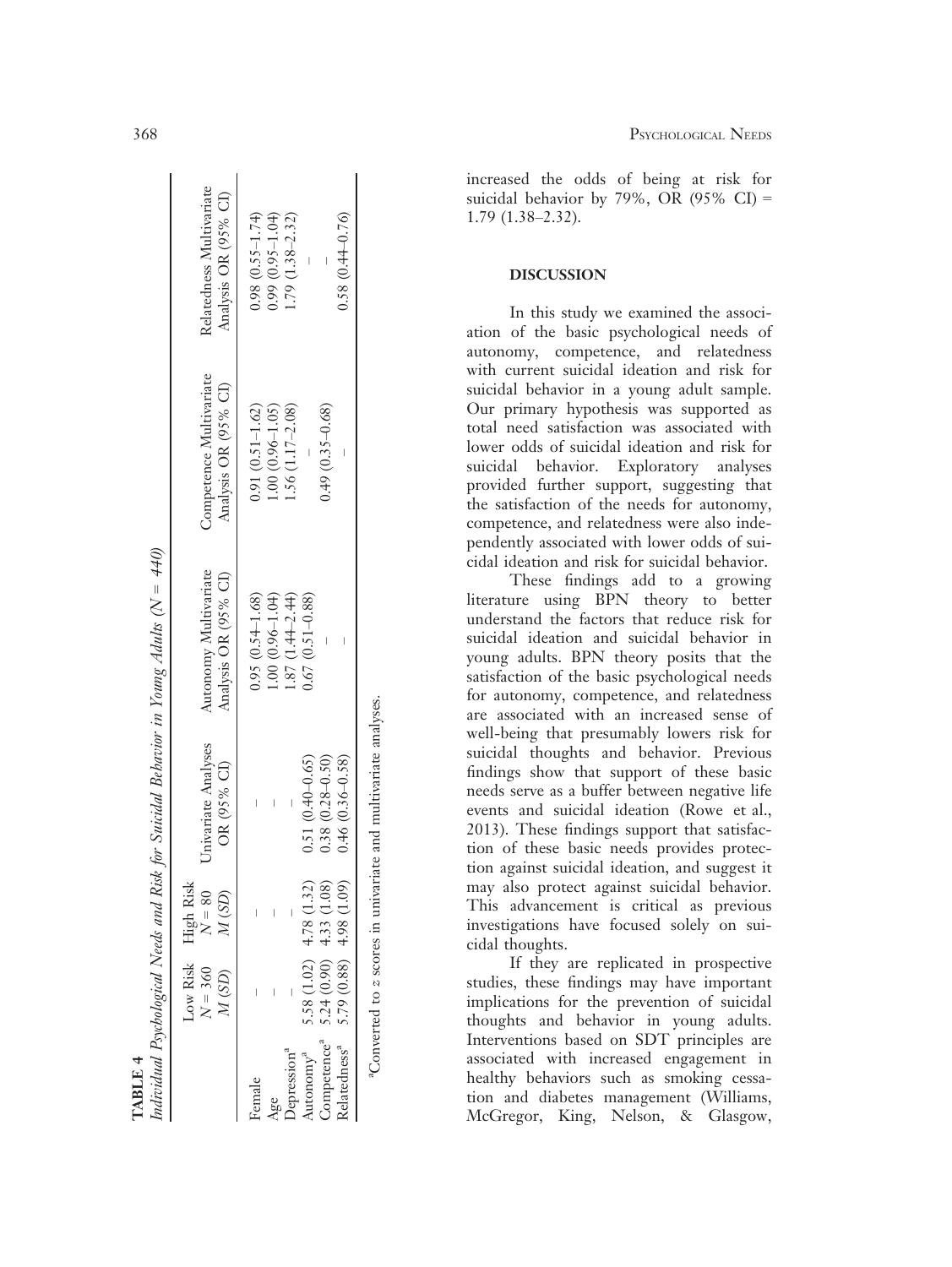|                              |             |                                          |                     | Individual Psychological Needs and Risk for Suicidal Behavior in Young Adults (N = 440) |                         |                          |
|------------------------------|-------------|------------------------------------------|---------------------|-----------------------------------------------------------------------------------------|-------------------------|--------------------------|
|                              |             | Low Risk High Risk<br>$N = 360$ $N = 80$ |                     |                                                                                         |                         |                          |
|                              |             |                                          | Univariate Analyses | Autonomy Multivariate                                                                   | Competence Multivariate | Relatedness Multivariate |
|                              | M(SD)       | M(SD)                                    | OR (95% CI)         | Analysis OR (95% CI)                                                                    | Analysis OR (95% CI)    | Analysis OR (95% CI)     |
| Female                       |             |                                          |                     | $0.95(0.54-1.68)$                                                                       | $0.91(0.51 - 1.62)$     | $0.98(0.55 - 1.74)$      |
| go<br>go                     |             |                                          |                     | $1.00(0.96 - 1.04)$                                                                     | $1.00(0.96 - 1.05)$     | 0.99 (0.95-1.04)         |
| epression <sup>a</sup>       |             |                                          |                     | $1.87(1.44 - 2.44)$                                                                     | $1.56(1.17-2.08)$       | $1.79(1.38 - 2.32)$      |
| $\mathrm{automy}^\mathrm{a}$ | 5.58 (1.02) | 4.78 (1.32)                              | $0.51(0.40-0.65)$   | $0.67(0.51 - 0.88)$                                                                     |                         |                          |
| ompetence <sup>a</sup>       | 5.24(0.90)  | 4.33 (1.08)                              | $0.38(0.28 - 0.50)$ |                                                                                         | $0.49(0.35-0.68)$       |                          |
| elatedness <sup>a</sup> .    |             | 5.79 (0.88) 4.98 (1.09)                  | $0.46(0.36 - 0.58)$ |                                                                                         |                         | $0.58(0.44 - 0.76)$      |
|                              |             |                                          |                     |                                                                                         |                         |                          |

aConverted to z scores in univariate and multivariate analyses. scores in univariate and multivariate analyses Converted to z

368 PSYCHOLOGICAL NEEDS

increased the odds of being at risk for suicidal behavior by 79%, OR  $(95\% \text{ CI})$  = 1.79 (1.38–2.32).

#### DISCUSSION

In this study we examined the association of the basic psychological needs of autonomy, competence, and relatedness with current suicidal ideation and risk for suicidal behavior in a young adult sample. Our primary hypothesis was supported as total need satisfaction was associated with lower odds of suicidal ideation and risk for suicidal behavior. Exploratory analyses provided further support, suggesting that the satisfaction of the needs for autonomy, competence, and relatedness were also independently associated with lower odds of suicidal ideation and risk for suicidal behavior.

These findings add to a growing literature using BPN theory to better understand the factors that reduce risk for suicidal ideation and suicidal behavior in young adults. BPN theory posits that the satisfaction of the basic psychological needs for autonomy, competence, and relatedness are associated with an increased sense of well-being that presumably lowers risk for suicidal thoughts and behavior. Previous findings show that support of these basic needs serve as a buffer between negative life events and suicidal ideation (Rowe et al., 2013). These findings support that satisfaction of these basic needs provides protection against suicidal ideation, and suggest it may also protect against suicidal behavior. This advancement is critical as previous investigations have focused solely on suicidal thoughts.

If they are replicated in prospective studies, these findings may have important implications for the prevention of suicidal thoughts and behavior in young adults. Interventions based on SDT principles are associated with increased engagement in healthy behaviors such as smoking cessation and diabetes management (Williams, McGregor, King, Nelson, & Glasgow,

TABLE 4

**TABLE**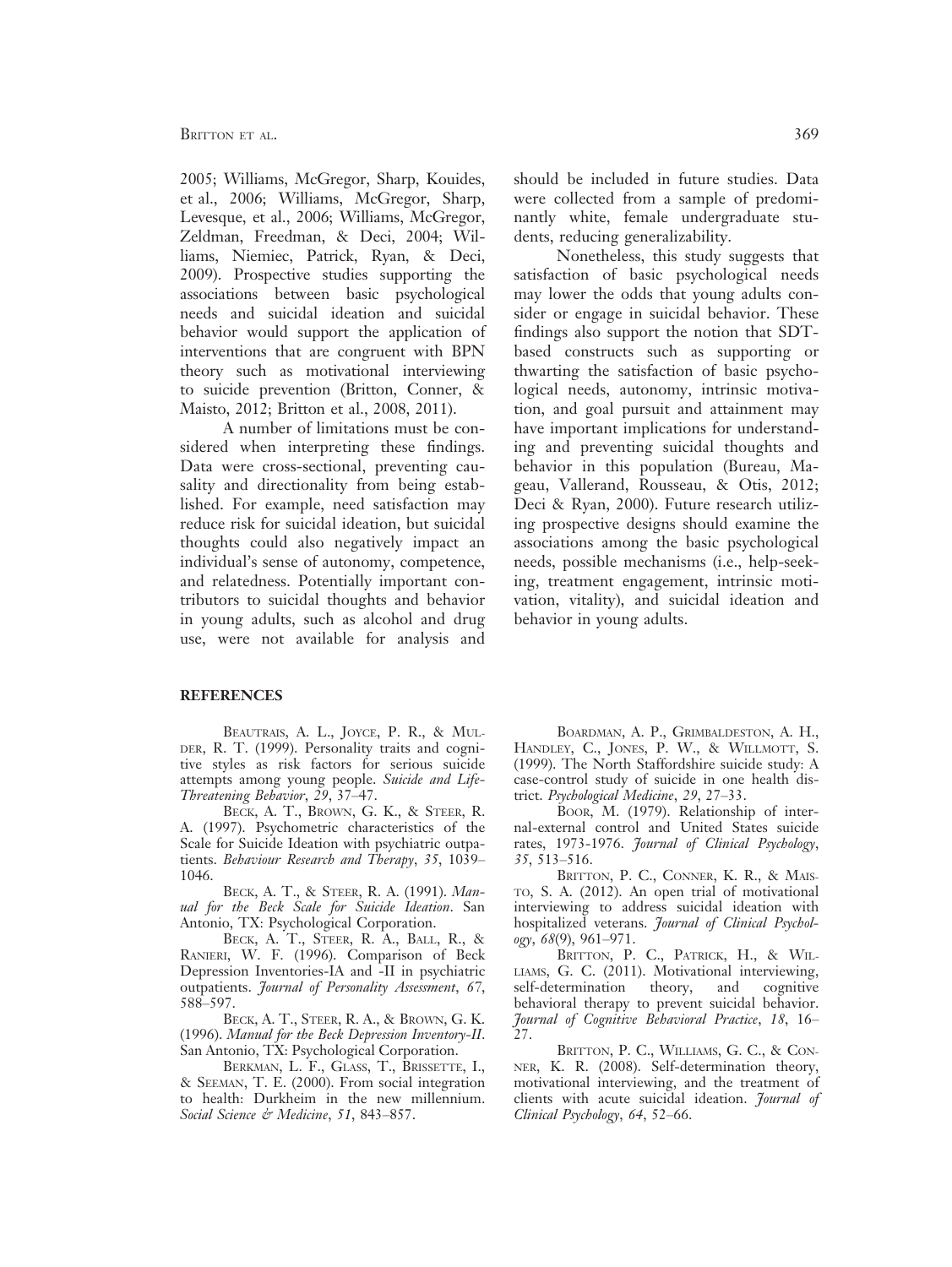## BRITTON ET AL. 369

2005; Williams, McGregor, Sharp, Kouides, et al., 2006; Williams, McGregor, Sharp, Levesque, et al., 2006; Williams, McGregor, Zeldman, Freedman, & Deci, 2004; Williams, Niemiec, Patrick, Ryan, & Deci, 2009). Prospective studies supporting the associations between basic psychological needs and suicidal ideation and suicidal behavior would support the application of interventions that are congruent with BPN theory such as motivational interviewing to suicide prevention (Britton, Conner, & Maisto, 2012; Britton et al., 2008, 2011).

A number of limitations must be considered when interpreting these findings. Data were cross-sectional, preventing causality and directionality from being established. For example, need satisfaction may reduce risk for suicidal ideation, but suicidal thoughts could also negatively impact an individual's sense of autonomy, competence, and relatedness. Potentially important contributors to suicidal thoughts and behavior in young adults, such as alcohol and drug use, were not available for analysis and

should be included in future studies. Data were collected from a sample of predominantly white, female undergraduate students, reducing generalizability.

Nonetheless, this study suggests that satisfaction of basic psychological needs may lower the odds that young adults consider or engage in suicidal behavior. These findings also support the notion that SDTbased constructs such as supporting or thwarting the satisfaction of basic psychological needs, autonomy, intrinsic motivation, and goal pursuit and attainment may have important implications for understanding and preventing suicidal thoughts and behavior in this population (Bureau, Mageau, Vallerand, Rousseau, & Otis, 2012; Deci & Ryan, 2000). Future research utilizing prospective designs should examine the associations among the basic psychological needs, possible mechanisms (i.e., help-seeking, treatment engagement, intrinsic motivation, vitality), and suicidal ideation and behavior in young adults.

#### **REFERENCES**

BEAUTRAIS, A. L., JOYCE, P. R., & MUL-DER, R. T. (1999). Personality traits and cognitive styles as risk factors for serious suicide attempts among young people. Suicide and Life-Threatening Behavior, 29, 37–47.

BECK, A. T., BROWN, G. K., & STEER, R. A. (1997). Psychometric characteristics of the Scale for Suicide Ideation with psychiatric outpatients. Behaviour Research and Therapy, 35, 1039– 1046.

BECK, A. T., & STEER, R. A. (1991). Manual for the Beck Scale for Suicide Ideation. San Antonio, TX: Psychological Corporation.

BECK, A. T., STEER, R. A., BALL, R., & RANIERI, W. F. (1996). Comparison of Beck Depression Inventories-IA and -II in psychiatric outpatients. Journal of Personality Assessment, 67, 588–597.

BECK, A. T., STEER, R. A., & BROWN, G. K. (1996). Manual for the Beck Depression Inventory-II. San Antonio, TX: Psychological Corporation.

BERKMAN, L. F., GLASS, T., BRISSETTE, I., & SEEMAN, T. E. (2000). From social integration to health: Durkheim in the new millennium. Social Science & Medicine, 51, 843-857.

BOARDMAN, A. P., GRIMBALDESTON, A. H., HANDLEY, C., JONES, P. W., & WILLMOTT, S. (1999). The North Staffordshire suicide study: A case-control study of suicide in one health district. Psychological Medicine, 29, 27–33.

BOOR, M. (1979). Relationship of internal-external control and United States suicide rates, 1973-1976. Journal of Clinical Psychology, 35, 513–516.

BRITTON, P. C., CONNER, K. R., & MAIS-TO, S. A. (2012). An open trial of motivational interviewing to address suicidal ideation with hospitalized veterans. Journal of Clinical Psychology, 68(9), 961–971.

BRITTON, P. C., PATRICK, H., & WIL-LIAMS, G. C. (2011). Motivational interviewing, self-determination theory, and cognitive behavioral therapy to prevent suicidal behavior. Journal of Cognitive Behavioral Practice, 18, 16– 27.

BRITTON, P. C., WILLIAMS, G. C., & CON-NER, K. R. (2008). Self-determination theory, motivational interviewing, and the treatment of clients with acute suicidal ideation. Journal of Clinical Psychology, 64, 52–66.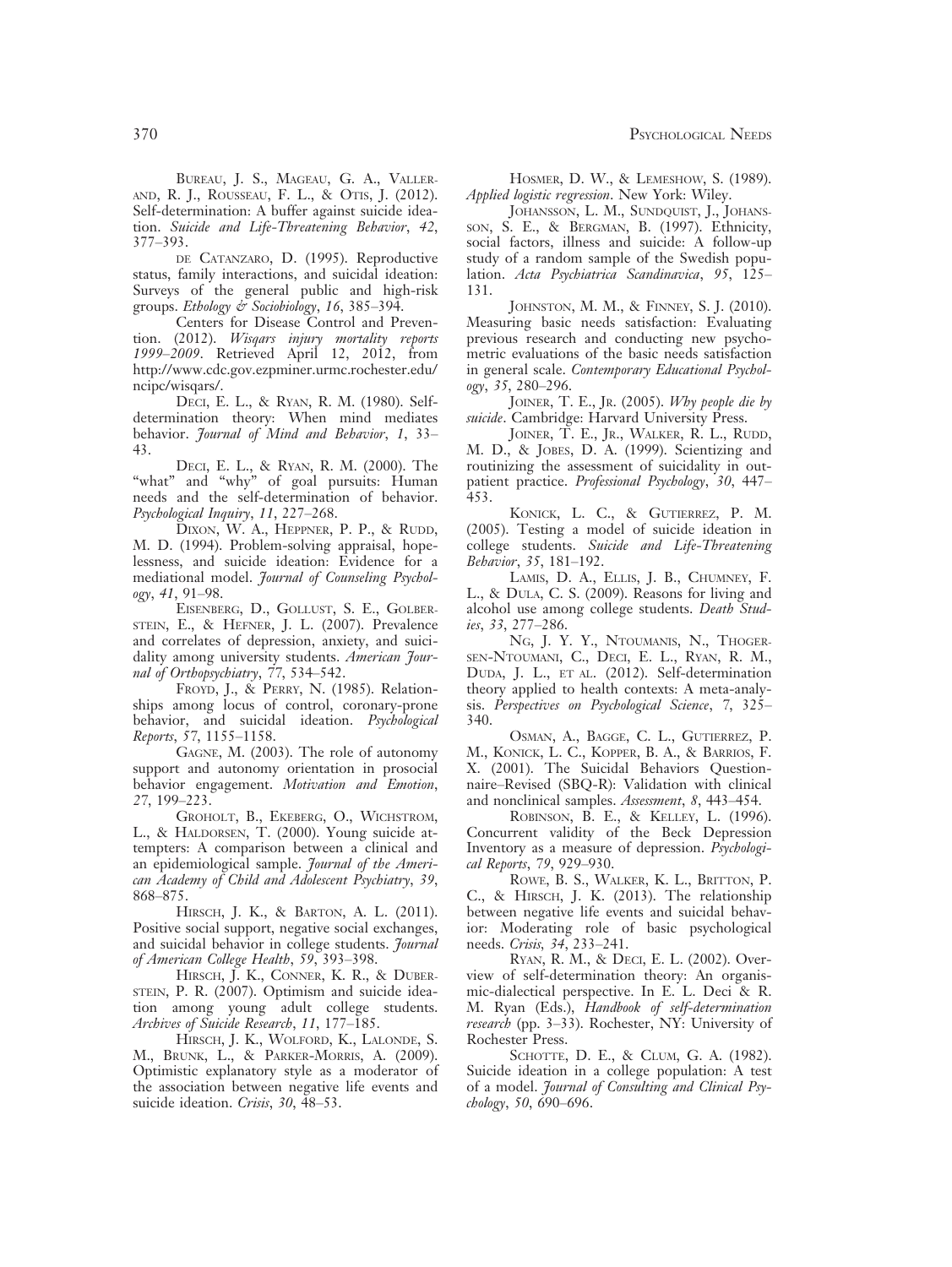BUREAU, J. S., MAGEAU, G. A., VALLER-AND, R. J., ROUSSEAU, F. L., & OTIS, J. (2012). Self-determination: A buffer against suicide ideation. Suicide and Life-Threatening Behavior, 42, 377–393.

DE CATANZARO, D. (1995). Reproductive status, family interactions, and suicidal ideation: Surveys of the general public and high-risk groups. Ethology & Sociobiology, 16, 385–394.

Centers for Disease Control and Prevention. (2012). Wisqars injury mortality reports 1999–2009. Retrieved April 12, 2012, from http://www.cdc.gov.ezpminer.urmc.rochester.edu/ ncipc/wisqars/.

DECI, E. L., & RYAN, R. M. (1980). Selfdetermination theory: When mind mediates behavior. Journal of Mind and Behavior, 1, 33– 43.

DECI, E. L., & RYAN, R. M. (2000). The "what" and "why" of goal pursuits: Human needs and the self-determination of behavior. Psychological Inquiry, 11, 227–268.

DIXON, W. A., HEPPNER, P. P., & RUDD, M. D. (1994). Problem-solving appraisal, hopelessness, and suicide ideation: Evidence for a mediational model. Journal of Counseling Psychology, 41, 91–98.

EISENBERG, D., GOLLUST, S. E., GOLBER-STEIN, E., & HEFNER, J. L. (2007). Prevalence and correlates of depression, anxiety, and suicidality among university students. American Journal of Orthopsychiatry, 77, 534-542.

FROYD, J., & PERRY, N. (1985). Relationships among locus of control, coronary-prone behavior, and suicidal ideation. Psychological Reports, 57, 1155–1158.

GAGNE, M. (2003). The role of autonomy support and autonomy orientation in prosocial behavior engagement. Motivation and Emotion, 27, 199–223.

GROHOLT, B., EKEBERG, O., WICHSTROM, L., & HALDORSEN, T. (2000). Young suicide attempters: A comparison between a clinical and an epidemiological sample. Journal of the American Academy of Child and Adolescent Psychiatry, 39, 868–875.

HIRSCH, J. K., & BARTON, A. L. (2011). Positive social support, negative social exchanges, and suicidal behavior in college students. *Journal* of American College Health, 59, 393–398.

HIRSCH, J. K., CONNER, K. R., & DUBER-STEIN, P. R. (2007). Optimism and suicide ideation among young adult college students. Archives of Suicide Research, 11, 177–185.

HIRSCH, J. K., WOLFORD, K., LALONDE, S. M., BRUNK, L., & PARKER-MORRIS, A. (2009). Optimistic explanatory style as a moderator of the association between negative life events and suicide ideation. Crisis, 30, 48–53.

HOSMER, D. W., & LEMESHOW, S. (1989). Applied logistic regression. New York: Wiley.

JOHANSSON, L. M., SUNDQUIST, J., JOHANS-SON, S. E., & BERGMAN, B. (1997). Ethnicity, social factors, illness and suicide: A follow-up study of a random sample of the Swedish population. Acta Psychiatrica Scandinavica, 95, 125-131.

JOHNSTON, M. M., & FINNEY, S. J. (2010). Measuring basic needs satisfaction: Evaluating previous research and conducting new psychometric evaluations of the basic needs satisfaction in general scale. Contemporary Educational Psychology, 35, 280–296.

JOINER, T. E., JR. (2005). Why people die by suicide. Cambridge: Harvard University Press.

JOINER, T. E., JR., WALKER, R. L., RUDD, M. D., & JOBES, D. A. (1999). Scientizing and routinizing the assessment of suicidality in outpatient practice. Professional Psychology, 30, 447– 453.

KONICK, L. C., & GUTIERREZ, P. M. (2005). Testing a model of suicide ideation in college students. Suicide and Life-Threatening Behavior, 35, 181–192.

LAMIS, D. A., ELLIS, J. B., CHUMNEY, F. L., & DULA, C. S. (2009). Reasons for living and alcohol use among college students. Death Studies, 33, 277–286.

NG, J. Y. Y., NTOUMANIS, N., THOGER-SEN-NTOUMANI, C., DECI, E. L., RYAN, R. M., DUDA, J. L., ET AL. (2012). Self-determination theory applied to health contexts: A meta-analysis. Perspectives on Psychological Science, 7, 325– 340.

OSMAN, A., BAGGE, C. L., GUTIERREZ, P. M., KONICK, L. C., KOPPER, B. A., & BARRIOS, F. X. (2001). The Suicidal Behaviors Questionnaire–Revised (SBQ-R): Validation with clinical and nonclinical samples. Assessment, 8, 443–454.

ROBINSON, B. E., & KELLEY, L. (1996). Concurrent validity of the Beck Depression Inventory as a measure of depression. Psychological Reports, 79, 929–930.

ROWE, B. S., WALKER, K. L., BRITTON, P. C., & HIRSCH, J. K. (2013). The relationship between negative life events and suicidal behavior: Moderating role of basic psychological needs. Crisis, 34, 233–241.

RYAN, R. M., & DECI, E. L. (2002). Overview of self-determination theory: An organismic-dialectical perspective. In E. L. Deci & R. M. Ryan (Eds.), Handbook of self-determination research (pp. 3–33). Rochester, NY: University of Rochester Press.

SCHOTTE, D. E., & CLUM, G. A. (1982). Suicide ideation in a college population: A test of a model. Journal of Consulting and Clinical Psychology, 50, 690–696.